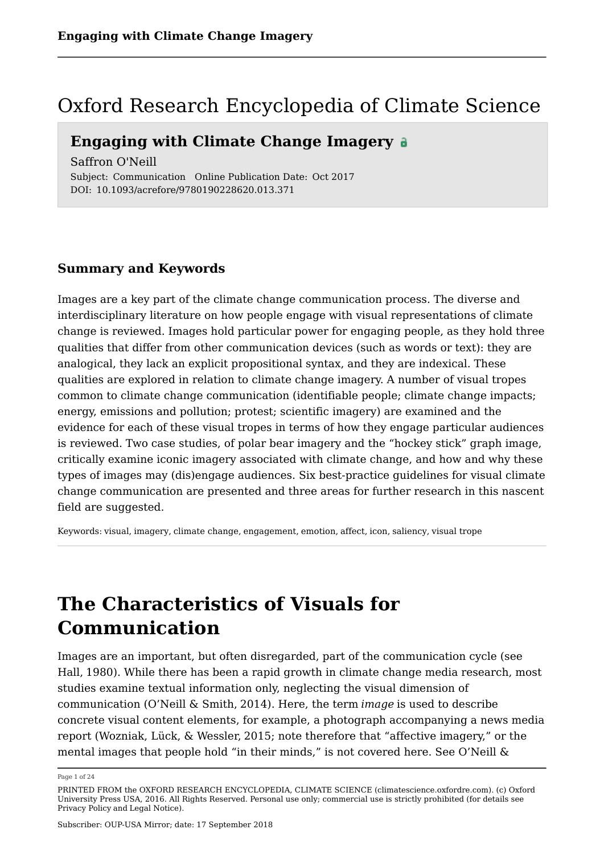## Oxford Research Encyclopedia of Climate Science

## **Engaging with Climate Change Imagery**

Saffron O'Neill Subject: Communication Online Publication Date: Oct 2017 DOI: 10.1093/acrefore/9780190228620.013.371

## **Summary and Keywords**

Images are a key part of the climate change communication process. The diverse and interdisciplinary literature on how people engage with visual representations of climate change is reviewed. Images hold particular power for engaging people, as they hold three qualities that differ from other communication devices (such as words or text): they are analogical, they lack an explicit propositional syntax, and they are indexical. These qualities are explored in relation to climate change imagery. A number of visual tropes common to climate change communication (identifiable people; climate change impacts; energy, emissions and pollution; protest; scientific imagery) are examined and the evidence for each of these visual tropes in terms of how they engage particular audiences is reviewed. Two case studies, of polar bear imagery and the "hockey stick" graph image, critically examine iconic imagery associated with climate change, and how and why these types of images may (dis)engage audiences. Six best-practice guidelines for visual climate change communication are presented and three areas for further research in this nascent field are suggested.

Keywords: visual, imagery, climate change, engagement, emotion, affect, icon, saliency, visual trope

# **The Characteristics of Visuals for Communication**

Images are an important, but often disregarded, part of the communication cycle (see Hall, 1980). While there has been a rapid growth in climate change media research, most studies examine textual information only, neglecting the visual dimension of communication (O'Neill & Smith, 2014). Here, the term *image* is used to describe concrete visual content elements, for example, a photograph accompanying a news media report (Wozniak, Lück, & Wessler, 2015; note therefore that "affective imagery," or the mental images that people hold "in their minds," is not covered here. See O'Neill &

Page 1 of 24

PRINTED FROM the OXFORD RESEARCH ENCYCLOPEDIA, CLIMATE SCIENCE (climatescience.oxfordre.com). (c) Oxford University Press USA, 2016. All Rights Reserved. Personal use only; commercial use is strictly prohibited (for details see Privacy Policy and Legal Notice).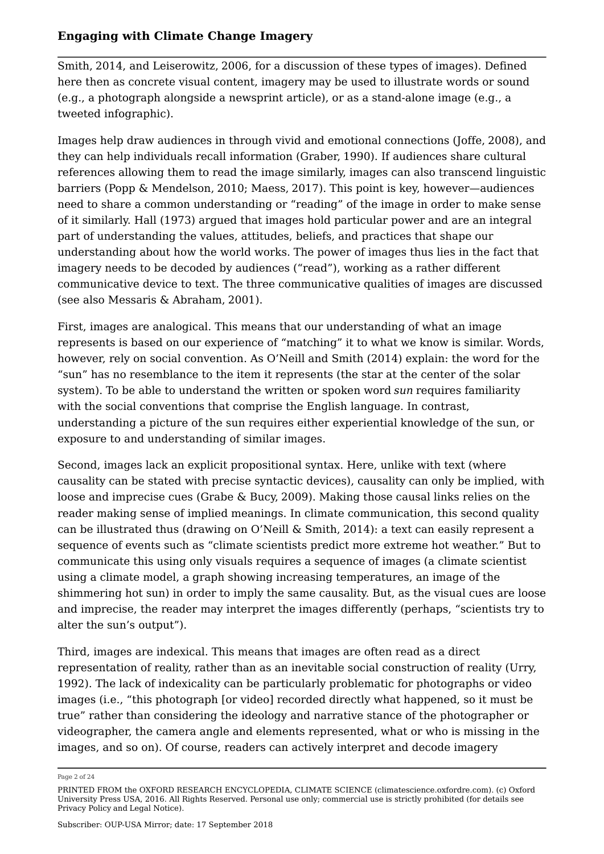Smith, 2014, and Leiserowitz, 2006, for a discussion of these types of images). Defined here then as concrete visual content, imagery may be used to illustrate words or sound (e.g., a photograph alongside a newsprint article), or as a stand-alone image (e.g., a tweeted infographic).

Images help draw audiences in through vivid and emotional connections (Joffe, 2008), and they can help individuals recall information (Graber, 1990). If audiences share cultural references allowing them to read the image similarly, images can also transcend linguistic barriers (Popp & Mendelson, 2010; Maess, 2017). This point is key, however—audiences need to share a common understanding or "reading" of the image in order to make sense of it similarly. Hall (1973) argued that images hold particular power and are an integral part of understanding the values, attitudes, beliefs, and practices that shape our understanding about how the world works. The power of images thus lies in the fact that imagery needs to be decoded by audiences ("read"), working as a rather different communicative device to text. The three communicative qualities of images are discussed (see also Messaris & Abraham, 2001).

First, images are analogical. This means that our understanding of what an image represents is based on our experience of "matching" it to what we know is similar. Words, however, rely on social convention. As O'Neill and Smith (2014) explain: the word for the "sun" has no resemblance to the item it represents (the star at the center of the solar system). To be able to understand the written or spoken word *sun* requires familiarity with the social conventions that comprise the English language. In contrast, understanding a picture of the sun requires either experiential knowledge of the sun, or exposure to and understanding of similar images.

Second, images lack an explicit propositional syntax. Here, unlike with text (where causality can be stated with precise syntactic devices), causality can only be implied, with loose and imprecise cues (Grabe & Bucy, 2009). Making those causal links relies on the reader making sense of implied meanings. In climate communication, this second quality can be illustrated thus (drawing on O'Neill & Smith, 2014): a text can easily represent a sequence of events such as "climate scientists predict more extreme hot weather." But to communicate this using only visuals requires a sequence of images (a climate scientist using a climate model, a graph showing increasing temperatures, an image of the shimmering hot sun) in order to imply the same causality. But, as the visual cues are loose and imprecise, the reader may interpret the images differently (perhaps, "scientists try to alter the sun's output").

Third, images are indexical. This means that images are often read as a direct representation of reality, rather than as an inevitable social construction of reality (Urry, 1992). The lack of indexicality can be particularly problematic for photographs or video images (i.e., "this photograph [or video] recorded directly what happened, so it must be true" rather than considering the ideology and narrative stance of the photographer or videographer, the camera angle and elements represented, what or who is missing in the images, and so on). Of course, readers can actively interpret and decode imagery

Page 2 of 24

PRINTED FROM the OXFORD RESEARCH ENCYCLOPEDIA, CLIMATE SCIENCE (climatescience.oxfordre.com). (c) Oxford University Press USA, 2016. All Rights Reserved. Personal use only; commercial use is strictly prohibited (for details see Privacy Policy and Legal Notice).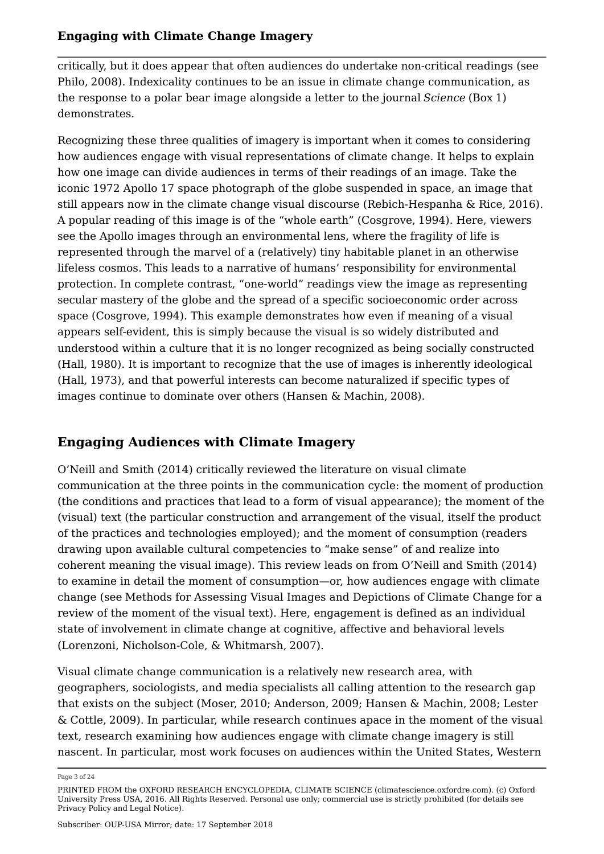critically, but it does appear that often audiences do undertake non-critical readings (see Philo, 2008). Indexicality continues to be an issue in climate change communication, as the response to a polar bear image alongside a letter to the journal *Science* (Box 1) demonstrates.

Recognizing these three qualities of imagery is important when it comes to considering how audiences engage with visual representations of climate change. It helps to explain how one image can divide audiences in terms of their readings of an image. Take the iconic 1972 Apollo 17 space photograph of the globe suspended in space, an image that still appears now in the climate change visual discourse (Rebich-Hespanha & Rice, 2016). A popular reading of this image is of the "whole earth" (Cosgrove, 1994). Here, viewers see the Apollo images through an environmental lens, where the fragility of life is represented through the marvel of a (relatively) tiny habitable planet in an otherwise lifeless cosmos. This leads to a narrative of humans' responsibility for environmental protection. In complete contrast, "one-world" readings view the image as representing secular mastery of the globe and the spread of a specific socioeconomic order across space (Cosgrove, 1994). This example demonstrates how even if meaning of a visual appears self-evident, this is simply because the visual is so widely distributed and understood within a culture that it is no longer recognized as being socially constructed (Hall, 1980). It is important to recognize that the use of images is inherently ideological (Hall, 1973), and that powerful interests can become naturalized if specific types of images continue to dominate over others (Hansen & Machin, 2008).

## **Engaging Audiences with Climate Imagery**

O'Neill and Smith (2014) critically reviewed the literature on visual climate communication at the three points in the communication cycle: the moment of production (the conditions and practices that lead to a form of visual appearance); the moment of the (visual) text (the particular construction and arrangement of the visual, itself the product of the practices and technologies employed); and the moment of consumption (readers drawing upon available cultural competencies to "make sense" of and realize into coherent meaning the visual image). This review leads on from O'Neill and Smith (2014) to examine in detail the moment of consumption—or, how audiences engage with climate change (see Methods for Assessing Visual Images and Depictions of Climate Change for a review of the moment of the visual text). Here, engagement is defined as an individual state of involvement in climate change at cognitive, affective and behavioral levels (Lorenzoni, Nicholson-Cole, & Whitmarsh, 2007).

Visual climate change communication is a relatively new research area, with geographers, sociologists, and media specialists all calling attention to the research gap that exists on the subject (Moser, 2010; Anderson, 2009; Hansen & Machin, 2008; Lester & Cottle, 2009). In particular, while research continues apace in the moment of the visual text, research examining how audiences engage with climate change imagery is still nascent. In particular, most work focuses on audiences within the United States, Western

Page 3 of 24

PRINTED FROM the OXFORD RESEARCH ENCYCLOPEDIA, CLIMATE SCIENCE (climatescience.oxfordre.com). (c) Oxford University Press USA, 2016. All Rights Reserved. Personal use only; commercial use is strictly prohibited (for details see Privacy Policy and Legal Notice).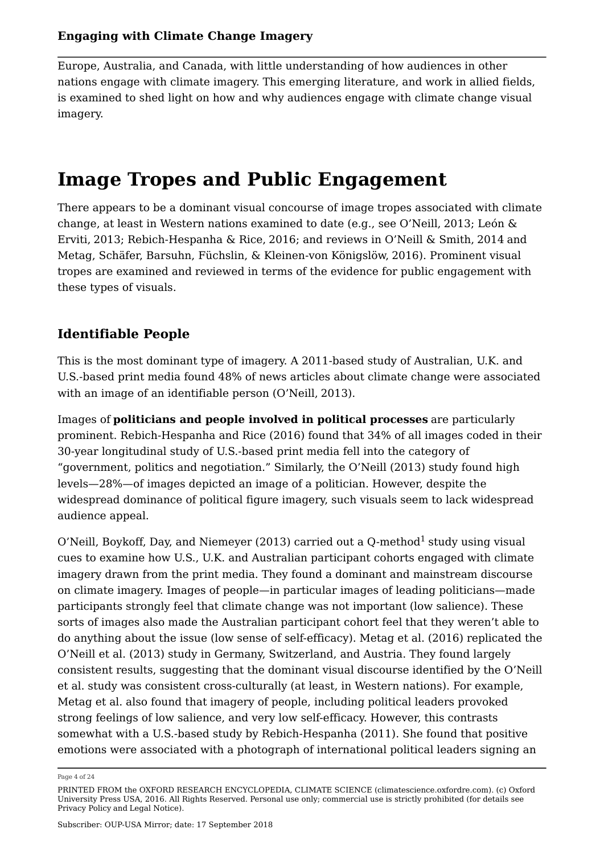Europe, Australia, and Canada, with little understanding of how audiences in other nations engage with climate imagery. This emerging literature, and work in allied fields, is examined to shed light on how and why audiences engage with climate change visual imagery.

# **Image Tropes and Public Engagement**

There appears to be a dominant visual concourse of image tropes associated with climate change, at least in Western nations examined to date (e.g., see O'Neill, 2013; León & Erviti, 2013; Rebich-Hespanha & Rice, 2016; and reviews in O'Neill & Smith, 2014 and Metag, Schäfer, Barsuhn, Füchslin, & Kleinen-von Königslöw, 2016). Prominent visual tropes are examined and reviewed in terms of the evidence for public engagement with these types of visuals.

## **Identifiable People**

This is the most dominant type of imagery. A 2011-based study of Australian, U.K. and U.S.-based print media found 48% of news articles about climate change were associated with an image of an identifiable person (O'Neill, 2013).

Images of **politicians and people involved in political processes** are particularly prominent. Rebich-Hespanha and Rice (2016) found that 34% of all images coded in their 30-year longitudinal study of U.S.-based print media fell into the category of "government, politics and negotiation." Similarly, the O'Neill (2013) study found high levels—28%—of images depicted an image of a politician. However, despite the widespread dominance of political figure imagery, such visuals seem to lack widespread audience appeal.

O'Neill, Boykoff, Day, and Niemeyer (2013) carried out a Q-method $^1$  study using visual cues to examine how U.S., U.K. and Australian participant cohorts engaged with climate imagery drawn from the print media. They found a dominant and mainstream discourse on climate imagery. Images of people—in particular images of leading politicians—made participants strongly feel that climate change was not important (low salience). These sorts of images also made the Australian participant cohort feel that they weren't able to do anything about the issue (low sense of self-efficacy). Metag et al. (2016) replicated the O'Neill et al. (2013) study in Germany, Switzerland, and Austria. They found largely consistent results, suggesting that the dominant visual discourse identified by the O'Neill et al. study was consistent cross-culturally (at least, in Western nations). For example, Metag et al. also found that imagery of people, including political leaders provoked strong feelings of low salience, and very low self-efficacy. However, this contrasts somewhat with a U.S.-based study by Rebich-Hespanha (2011). She found that positive emotions were associated with a photograph of international political leaders signing an

Page 4 of 24

PRINTED FROM the OXFORD RESEARCH ENCYCLOPEDIA, CLIMATE SCIENCE (climatescience.oxfordre.com). (c) Oxford University Press USA, 2016. All Rights Reserved. Personal use only; commercial use is strictly prohibited (for details see Privacy Policy and Legal Notice).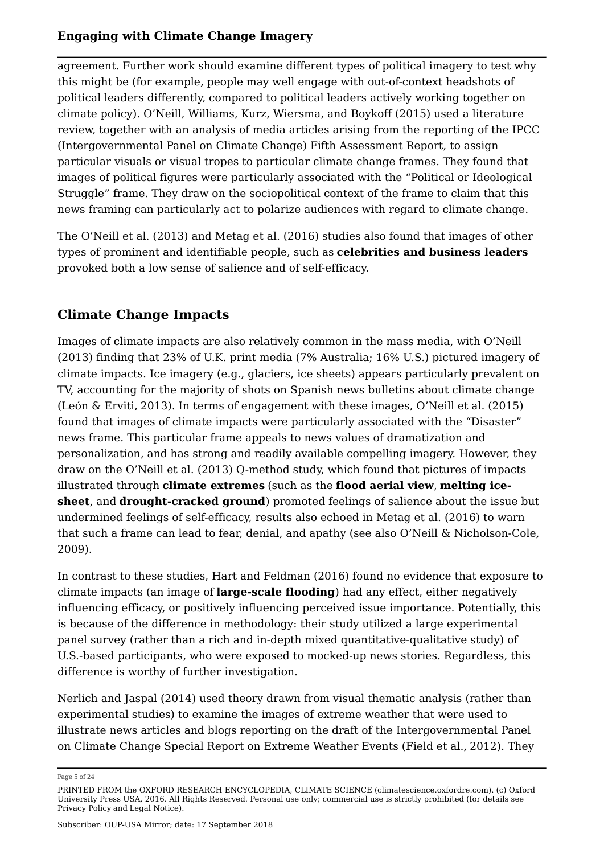agreement. Further work should examine different types of political imagery to test why this might be (for example, people may well engage with out-of-context headshots of political leaders differently, compared to political leaders actively working together on climate policy). O'Neill, Williams, Kurz, Wiersma, and Boykoff (2015) used a literature review, together with an analysis of media articles arising from the reporting of the IPCC (Intergovernmental Panel on Climate Change) Fifth Assessment Report, to assign particular visuals or visual tropes to particular climate change frames. They found that images of political figures were particularly associated with the "Political or Ideological Struggle" frame. They draw on the sociopolitical context of the frame to claim that this news framing can particularly act to polarize audiences with regard to climate change.

The O'Neill et al. (2013) and Metag et al. (2016) studies also found that images of other types of prominent and identifiable people, such as **celebrities and business leaders** provoked both a low sense of salience and of self-efficacy.

## **Climate Change Impacts**

Images of climate impacts are also relatively common in the mass media, with O'Neill (2013) finding that 23% of U.K. print media (7% Australia; 16% U.S.) pictured imagery of climate impacts. Ice imagery (e.g., glaciers, ice sheets) appears particularly prevalent on TV, accounting for the majority of shots on Spanish news bulletins about climate change (León & Erviti, 2013). In terms of engagement with these images, O'Neill et al. (2015) found that images of climate impacts were particularly associated with the "Disaster" news frame. This particular frame appeals to news values of dramatization and personalization, and has strong and readily available compelling imagery. However, they draw on the O'Neill et al. (2013) Q-method study, which found that pictures of impacts illustrated through **climate extremes** (such as the **flood aerial view**, **melting icesheet**, and **drought-cracked ground**) promoted feelings of salience about the issue but undermined feelings of self-efficacy, results also echoed in Metag et al. (2016) to warn that such a frame can lead to fear, denial, and apathy (see also O'Neill & Nicholson-Cole, 2009).

In contrast to these studies, Hart and Feldman (2016) found no evidence that exposure to climate impacts (an image of **large-scale flooding**) had any effect, either negatively influencing efficacy, or positively influencing perceived issue importance. Potentially, this is because of the difference in methodology: their study utilized a large experimental panel survey (rather than a rich and in-depth mixed quantitative-qualitative study) of U.S.-based participants, who were exposed to mocked-up news stories. Regardless, this difference is worthy of further investigation.

Nerlich and Jaspal (2014) used theory drawn from visual thematic analysis (rather than experimental studies) to examine the images of extreme weather that were used to illustrate news articles and blogs reporting on the draft of the Intergovernmental Panel on Climate Change Special Report on Extreme Weather Events (Field et al., 2012). They

Page 5 of 24

PRINTED FROM the OXFORD RESEARCH ENCYCLOPEDIA, CLIMATE SCIENCE (climatescience.oxfordre.com). (c) Oxford University Press USA, 2016. All Rights Reserved. Personal use only; commercial use is strictly prohibited (for details see Privacy Policy and Legal Notice).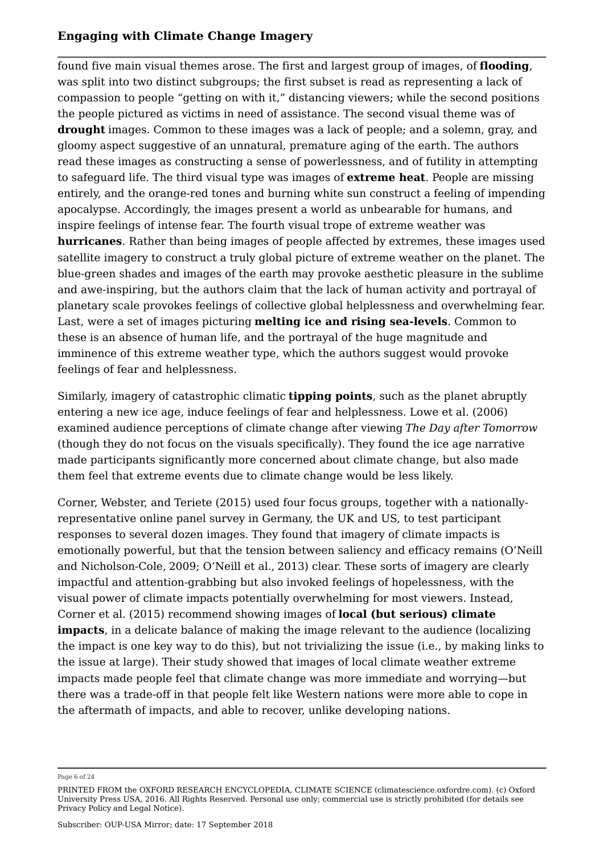found five main visual themes arose. The first and largest group of images, of **flooding**, was split into two distinct subgroups; the first subset is read as representing a lack of compassion to people "getting on with it," distancing viewers; while the second positions the people pictured as victims in need of assistance. The second visual theme was of **drought** images. Common to these images was a lack of people; and a solemn, gray, and gloomy aspect suggestive of an unnatural, premature aging of the earth. The authors read these images as constructing a sense of powerlessness, and of futility in attempting to safeguard life. The third visual type was images of **extreme heat**. People are missing entirely, and the orange-red tones and burning white sun construct a feeling of impending apocalypse. Accordingly, the images present a world as unbearable for humans, and inspire feelings of intense fear. The fourth visual trope of extreme weather was **hurricanes**. Rather than being images of people affected by extremes, these images used satellite imagery to construct a truly global picture of extreme weather on the planet. The blue-green shades and images of the earth may provoke aesthetic pleasure in the sublime and awe-inspiring, but the authors claim that the lack of human activity and portrayal of planetary scale provokes feelings of collective global helplessness and overwhelming fear. Last, were a set of images picturing **melting ice and rising sea-levels**. Common to these is an absence of human life, and the portrayal of the huge magnitude and imminence of this extreme weather type, which the authors suggest would provoke feelings of fear and helplessness.

Similarly, imagery of catastrophic climatic **tipping points**, such as the planet abruptly entering a new ice age, induce feelings of fear and helplessness. Lowe et al. (2006) examined audience perceptions of climate change after viewing *The Day after Tomorrow* (though they do not focus on the visuals specifically). They found the ice age narrative made participants significantly more concerned about climate change, but also made them feel that extreme events due to climate change would be less likely.

Corner, Webster, and Teriete (2015) used four focus groups, together with a nationallyrepresentative online panel survey in Germany, the UK and US, to test participant responses to several dozen images. They found that imagery of climate impacts is emotionally powerful, but that the tension between saliency and efficacy remains (O'Neill and Nicholson-Cole, 2009; O'Neill et al., 2013) clear. These sorts of imagery are clearly impactful and attention-grabbing but also invoked feelings of hopelessness, with the visual power of climate impacts potentially overwhelming for most viewers. Instead, Corner et al. (2015) recommend showing images of **local (but serious) climate impacts**, in a delicate balance of making the image relevant to the audience (localizing the impact is one key way to do this), but not trivializing the issue (i.e., by making links to the issue at large). Their study showed that images of local climate weather extreme impacts made people feel that climate change was more immediate and worrying—but there was a trade-off in that people felt like Western nations were more able to cope in the aftermath of impacts, and able to recover, unlike developing nations.

Page 6 of 24

PRINTED FROM the OXFORD RESEARCH ENCYCLOPEDIA, CLIMATE SCIENCE (climatescience.oxfordre.com). (c) Oxford University Press USA, 2016. All Rights Reserved. Personal use only; commercial use is strictly prohibited (for details see Privacy Policy and Legal Notice).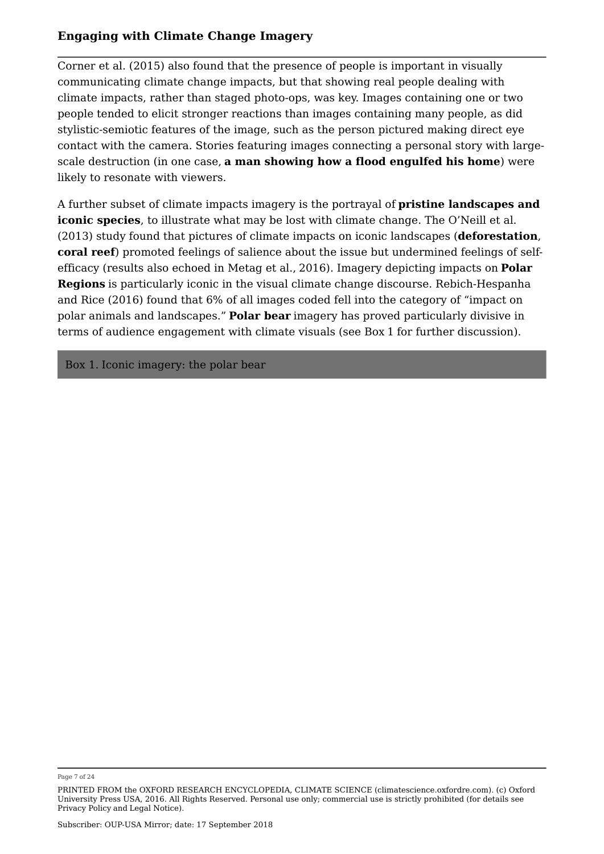Corner et al. (2015) also found that the presence of people is important in visually communicating climate change impacts, but that showing real people dealing with climate impacts, rather than staged photo-ops, was key. Images containing one or two people tended to elicit stronger reactions than images containing many people, as did stylistic-semiotic features of the image, such as the person pictured making direct eye contact with the camera. Stories featuring images connecting a personal story with largescale destruction (in one case, **a man showing how a flood engulfed his home**) were likely to resonate with viewers.

A further subset of climate impacts imagery is the portrayal of **pristine landscapes and iconic species**, to illustrate what may be lost with climate change. The O'Neill et al. (2013) study found that pictures of climate impacts on iconic landscapes (**deforestation**, **coral reef**) promoted feelings of salience about the issue but undermined feelings of selfefficacy (results also echoed in Metag et al., 2016). Imagery depicting impacts on **Polar Regions** is particularly iconic in the visual climate change discourse. Rebich-Hespanha and Rice (2016) found that 6% of all images coded fell into the category of "impact on polar animals and landscapes." **Polar bear** imagery has proved particularly divisive in terms of audience engagement with climate visuals (see Box 1 for further discussion).

Box 1. Iconic imagery: the polar bear

Page 7 of 24

PRINTED FROM the OXFORD RESEARCH ENCYCLOPEDIA, CLIMATE SCIENCE (climatescience.oxfordre.com). (c) Oxford University Press USA, 2016. All Rights Reserved. Personal use only; commercial use is strictly prohibited (for details see Privacy Policy and Legal Notice).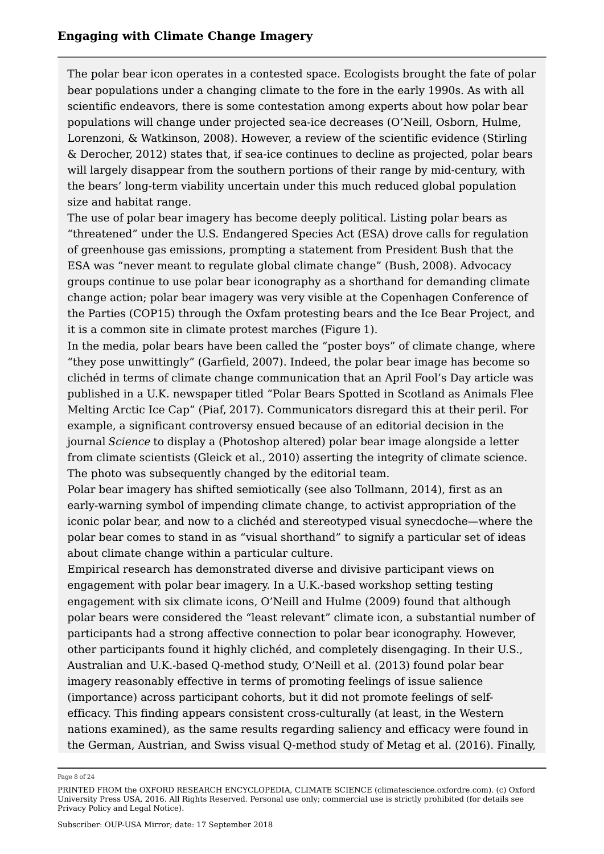The polar bear icon operates in a contested space. Ecologists brought the fate of polar bear populations under a changing climate to the fore in the early 1990s. As with all scientific endeavors, there is some contestation among experts about how polar bear populations will change under projected sea-ice decreases (O'Neill, Osborn, Hulme, Lorenzoni, & Watkinson, 2008). However, a review of the scientific evidence (Stirling & Derocher, 2012) states that, if sea-ice continues to decline as projected, polar bears will largely disappear from the southern portions of their range by mid-century, with the bears' long-term viability uncertain under this much reduced global population size and habitat range.

The use of polar bear imagery has become deeply political. Listing polar bears as "threatened" under the U.S. Endangered Species Act (ESA) drove calls for regulation of greenhouse gas emissions, prompting a statement from President Bush that the ESA was "never meant to regulate global climate change" (Bush, 2008). Advocacy groups continue to use polar bear iconography as a shorthand for demanding climate change action; polar bear imagery was very visible at the Copenhagen Conference of the Parties (COP15) through the Oxfam protesting bears and the Ice Bear Project, and it is a common site in climate protest marches (Figure 1).

In the media, polar bears have been called the "poster boys" of climate change, where "they pose unwittingly" (Garfield, 2007). Indeed, the polar bear image has become so clichéd in terms of climate change communication that an April Fool's Day article was published in a U.K. newspaper titled "Polar Bears Spotted in Scotland as Animals Flee Melting Arctic Ice Cap" (Piaf, 2017). Communicators disregard this at their peril. For example, a significant controversy ensued because of an editorial decision in the journal *Science* to display a (Photoshop altered) polar bear image alongside a letter from climate scientists (Gleick et al., 2010) asserting the integrity of climate science. The photo was subsequently changed by the editorial team.

Polar bear imagery has shifted semiotically (see also Tollmann, 2014), first as an early-warning symbol of impending climate change, to activist appropriation of the iconic polar bear, and now to a clichéd and stereotyped visual synecdoche—where the polar bear comes to stand in as "visual shorthand" to signify a particular set of ideas about climate change within a particular culture.

Empirical research has demonstrated diverse and divisive participant views on engagement with polar bear imagery. In a U.K.-based workshop setting testing engagement with six climate icons, O'Neill and Hulme (2009) found that although polar bears were considered the "least relevant" climate icon, a substantial number of participants had a strong affective connection to polar bear iconography. However, other participants found it highly clichéd, and completely disengaging. In their U.S., Australian and U.K.-based Q-method study, O'Neill et al. (2013) found polar bear imagery reasonably effective in terms of promoting feelings of issue salience (importance) across participant cohorts, but it did not promote feelings of selfefficacy. This finding appears consistent cross-culturally (at least, in the Western nations examined), as the same results regarding saliency and efficacy were found in the German, Austrian, and Swiss visual Q-method study of Metag et al. (2016). Finally,

Page 8 of 24

PRINTED FROM the OXFORD RESEARCH ENCYCLOPEDIA, CLIMATE SCIENCE (climatescience.oxfordre.com). (c) Oxford University Press USA, 2016. All Rights Reserved. Personal use only; commercial use is strictly prohibited (for details see Privacy Policy and Legal Notice).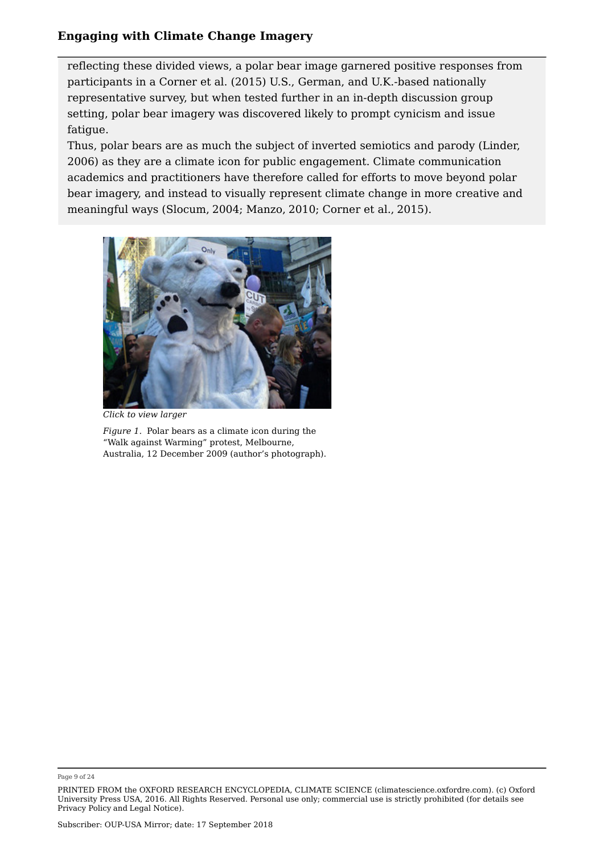reflecting these divided views, a polar bear image garnered positive responses from participants in a Corner et al. (2015) U.S., German, and U.K.-based nationally representative survey, but when tested further in an in-depth discussion group setting, polar bear imagery was discovered likely to prompt cynicism and issue fatigue.

Thus, polar bears are as much the subject of inverted semiotics and parody (Linder, 2006) as they are a climate icon for public engagement. Climate communication academics and practitioners have therefore called for efforts to move beyond polar bear imagery, and instead to visually represent climate change in more creative and meaningful ways (Slocum, 2004; Manzo, 2010; Corner et al., 2015).



*Click to view larger*

*Figure 1.* Polar bears as a climate icon during the "Walk against Warming" protest, Melbourne, Australia, 12 December 2009 (author's photograph).

Page 9 of 24

PRINTED FROM the OXFORD RESEARCH ENCYCLOPEDIA, CLIMATE SCIENCE (climatescience.oxfordre.com). (c) Oxford University Press USA, 2016. All Rights Reserved. Personal use only; commercial use is strictly prohibited (for details see Privacy Policy and Legal Notice).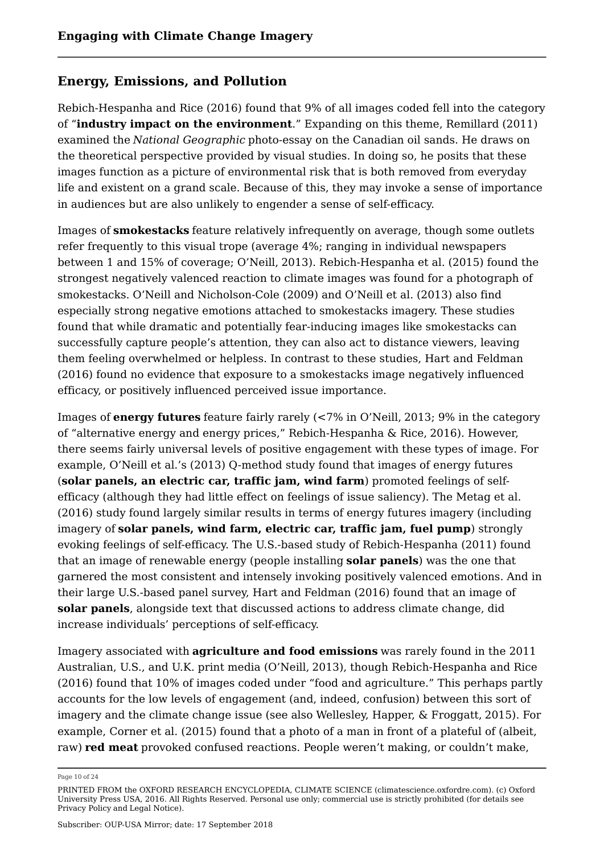## **Energy, Emissions, and Pollution**

Rebich-Hespanha and Rice (2016) found that 9% of all images coded fell into the category of "**industry impact on the environment**." Expanding on this theme, Remillard (2011) examined the *National Geographic* photo-essay on the Canadian oil sands. He draws on the theoretical perspective provided by visual studies. In doing so, he posits that these images function as a picture of environmental risk that is both removed from everyday life and existent on a grand scale. Because of this, they may invoke a sense of importance in audiences but are also unlikely to engender a sense of self-efficacy.

Images of **smokestacks** feature relatively infrequently on average, though some outlets refer frequently to this visual trope (average 4%; ranging in individual newspapers between 1 and 15% of coverage; O'Neill, 2013). Rebich-Hespanha et al. (2015) found the strongest negatively valenced reaction to climate images was found for a photograph of smokestacks. O'Neill and Nicholson-Cole (2009) and O'Neill et al. (2013) also find especially strong negative emotions attached to smokestacks imagery. These studies found that while dramatic and potentially fear-inducing images like smokestacks can successfully capture people's attention, they can also act to distance viewers, leaving them feeling overwhelmed or helpless. In contrast to these studies, Hart and Feldman (2016) found no evidence that exposure to a smokestacks image negatively influenced efficacy, or positively influenced perceived issue importance.

Images of **energy futures** feature fairly rarely (<7% in O'Neill, 2013; 9% in the category of "alternative energy and energy prices," Rebich-Hespanha & Rice, 2016). However, there seems fairly universal levels of positive engagement with these types of image. For example, O'Neill et al.'s (2013) Q-method study found that images of energy futures (**solar panels, an electric car, traffic jam, wind farm**) promoted feelings of selfefficacy (although they had little effect on feelings of issue saliency). The Metag et al. (2016) study found largely similar results in terms of energy futures imagery (including imagery of **solar panels, wind farm, electric car, traffic jam, fuel pump**) strongly evoking feelings of self-efficacy. The U.S.-based study of Rebich-Hespanha (2011) found that an image of renewable energy (people installing **solar panels**) was the one that garnered the most consistent and intensely invoking positively valenced emotions. And in their large U.S.-based panel survey, Hart and Feldman (2016) found that an image of **solar panels**, alongside text that discussed actions to address climate change, did increase individuals' perceptions of self-efficacy.

Imagery associated with **agriculture and food emissions** was rarely found in the 2011 Australian, U.S., and U.K. print media (O'Neill, 2013), though Rebich-Hespanha and Rice (2016) found that 10% of images coded under "food and agriculture." This perhaps partly accounts for the low levels of engagement (and, indeed, confusion) between this sort of imagery and the climate change issue (see also Wellesley, Happer, & Froggatt, 2015). For example, Corner et al. (2015) found that a photo of a man in front of a plateful of (albeit, raw) **red meat** provoked confused reactions. People weren't making, or couldn't make,

Page 10 of 24

PRINTED FROM the OXFORD RESEARCH ENCYCLOPEDIA, CLIMATE SCIENCE (climatescience.oxfordre.com). (c) Oxford University Press USA, 2016. All Rights Reserved. Personal use only; commercial use is strictly prohibited (for details see Privacy Policy and Legal Notice).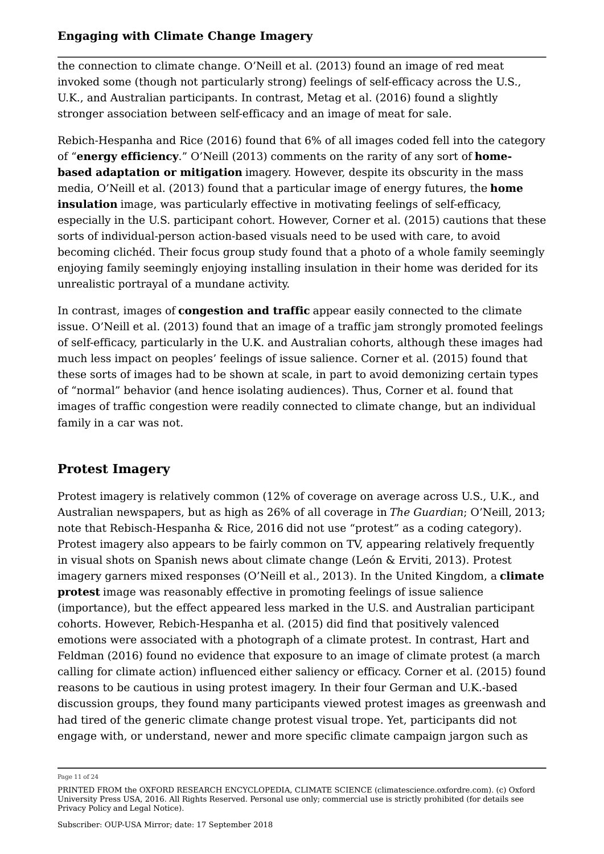the connection to climate change. O'Neill et al. (2013) found an image of red meat invoked some (though not particularly strong) feelings of self-efficacy across the U.S., U.K., and Australian participants. In contrast, Metag et al. (2016) found a slightly stronger association between self-efficacy and an image of meat for sale.

Rebich-Hespanha and Rice (2016) found that 6% of all images coded fell into the category of "**energy efficiency**." O'Neill (2013) comments on the rarity of any sort of **homebased adaptation or mitigation** imagery. However, despite its obscurity in the mass media, O'Neill et al. (2013) found that a particular image of energy futures, the **home insulation** image, was particularly effective in motivating feelings of self-efficacy, especially in the U.S. participant cohort. However, Corner et al. (2015) cautions that these sorts of individual-person action-based visuals need to be used with care, to avoid becoming clichéd. Their focus group study found that a photo of a whole family seemingly enjoying family seemingly enjoying installing insulation in their home was derided for its unrealistic portrayal of a mundane activity.

In contrast, images of **congestion and traffic** appear easily connected to the climate issue. O'Neill et al. (2013) found that an image of a traffic jam strongly promoted feelings of self-efficacy, particularly in the U.K. and Australian cohorts, although these images had much less impact on peoples' feelings of issue salience. Corner et al. (2015) found that these sorts of images had to be shown at scale, in part to avoid demonizing certain types of "normal" behavior (and hence isolating audiences). Thus, Corner et al. found that images of traffic congestion were readily connected to climate change, but an individual family in a car was not.

## **Protest Imagery**

Protest imagery is relatively common (12% of coverage on average across U.S., U.K., and Australian newspapers, but as high as 26% of all coverage in *The Guardian*; O'Neill, 2013; note that Rebisch-Hespanha & Rice, 2016 did not use "protest" as a coding category). Protest imagery also appears to be fairly common on TV, appearing relatively frequently in visual shots on Spanish news about climate change (León & Erviti, 2013). Protest imagery garners mixed responses (O'Neill et al., 2013). In the United Kingdom, a **climate protest** image was reasonably effective in promoting feelings of issue salience (importance), but the effect appeared less marked in the U.S. and Australian participant cohorts. However, Rebich-Hespanha et al. (2015) did find that positively valenced emotions were associated with a photograph of a climate protest. In contrast, Hart and Feldman (2016) found no evidence that exposure to an image of climate protest (a march calling for climate action) influenced either saliency or efficacy. Corner et al. (2015) found reasons to be cautious in using protest imagery. In their four German and U.K.-based discussion groups, they found many participants viewed protest images as greenwash and had tired of the generic climate change protest visual trope. Yet, participants did not engage with, or understand, newer and more specific climate campaign jargon such as

Page 11 of 24

PRINTED FROM the OXFORD RESEARCH ENCYCLOPEDIA, CLIMATE SCIENCE (climatescience.oxfordre.com). (c) Oxford University Press USA, 2016. All Rights Reserved. Personal use only; commercial use is strictly prohibited (for details see Privacy Policy and Legal Notice).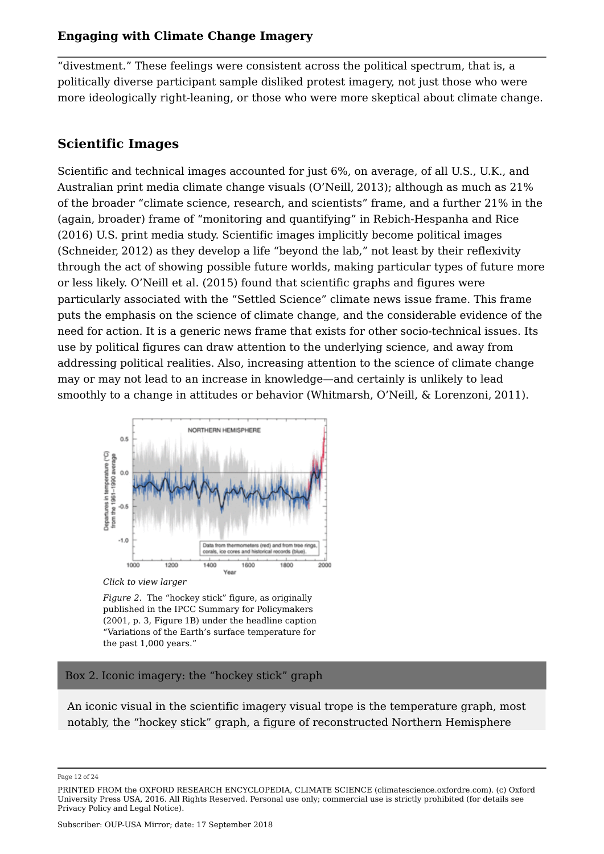"divestment." These feelings were consistent across the political spectrum, that is, a politically diverse participant sample disliked protest imagery, not just those who were more ideologically right-leaning, or those who were more skeptical about climate change.

## **Scientific Images**

Scientific and technical images accounted for just 6%, on average, of all U.S., U.K., and Australian print media climate change visuals (O'Neill, 2013); although as much as 21% of the broader "climate science, research, and scientists" frame, and a further 21% in the (again, broader) frame of "monitoring and quantifying" in Rebich-Hespanha and Rice (2016) U.S. print media study. Scientific images implicitly become political images (Schneider, 2012) as they develop a life "beyond the lab," not least by their reflexivity through the act of showing possible future worlds, making particular types of future more or less likely. O'Neill et al. (2015) found that scientific graphs and figures were particularly associated with the "Settled Science" climate news issue frame. This frame puts the emphasis on the science of climate change, and the considerable evidence of the need for action. It is a generic news frame that exists for other socio-technical issues. Its use by political figures can draw attention to the underlying science, and away from addressing political realities. Also, increasing attention to the science of climate change may or may not lead to an increase in knowledge—and certainly is unlikely to lead smoothly to a change in attitudes or behavior (Whitmarsh, O'Neill, & Lorenzoni, 2011).



*Click to view larger*

*Figure 2.* The "hockey stick" figure, as originally published in the IPCC Summary for Policymakers (2001, p. 3, Figure 1B) under the headline caption "Variations of the Earth's surface temperature for the past 1,000 years."

#### Box 2. Iconic imagery: the "hockey stick" graph

An iconic visual in the scientific imagery visual trope is the temperature graph, most notably, the "hockey stick" graph, a figure of reconstructed Northern Hemisphere

Page 12 of 24

PRINTED FROM the OXFORD RESEARCH ENCYCLOPEDIA, CLIMATE SCIENCE (climatescience.oxfordre.com). (c) Oxford University Press USA, 2016. All Rights Reserved. Personal use only; commercial use is strictly prohibited (for details see Privacy Policy and Legal Notice).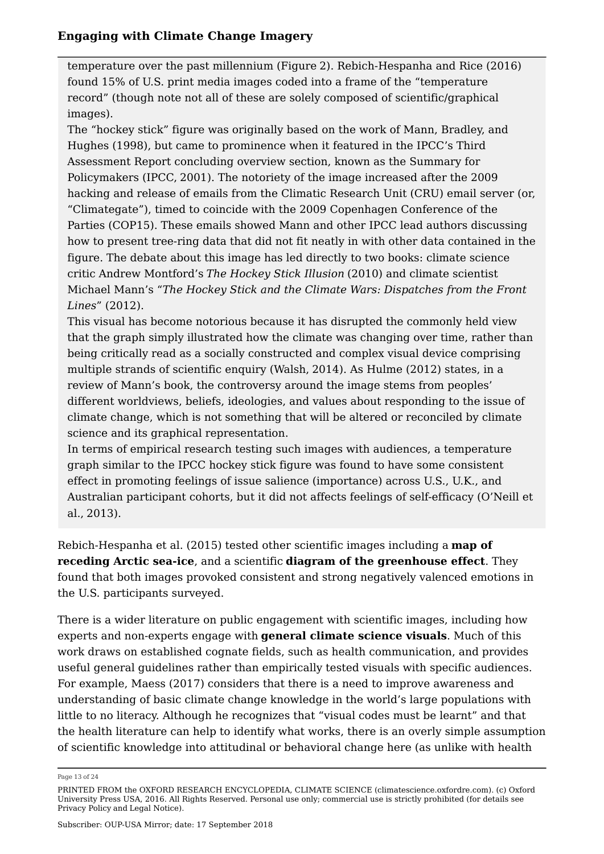temperature over the past millennium (Figure 2). Rebich-Hespanha and Rice (2016) found 15% of U.S. print media images coded into a frame of the "temperature record" (though note not all of these are solely composed of scientific/graphical images).

The "hockey stick" figure was originally based on the work of Mann, Bradley, and Hughes (1998), but came to prominence when it featured in the IPCC's Third Assessment Report concluding overview section, known as the Summary for Policymakers (IPCC, 2001). The notoriety of the image increased after the 2009 hacking and release of emails from the Climatic Research Unit (CRU) email server (or, "Climategate"), timed to coincide with the 2009 Copenhagen Conference of the Parties (COP15). These emails showed Mann and other IPCC lead authors discussing how to present tree-ring data that did not fit neatly in with other data contained in the figure. The debate about this image has led directly to two books: climate science critic Andrew Montford's *The Hockey Stick Illusion* (2010) and climate scientist Michael Mann's "*The Hockey Stick and the Climate Wars: Dispatches from the Front Lines*" (2012).

This visual has become notorious because it has disrupted the commonly held view that the graph simply illustrated how the climate was changing over time, rather than being critically read as a socially constructed and complex visual device comprising multiple strands of scientific enquiry (Walsh, 2014). As Hulme (2012) states, in a review of Mann's book, the controversy around the image stems from peoples' different worldviews, beliefs, ideologies, and values about responding to the issue of climate change, which is not something that will be altered or reconciled by climate science and its graphical representation.

In terms of empirical research testing such images with audiences, a temperature graph similar to the IPCC hockey stick figure was found to have some consistent effect in promoting feelings of issue salience (importance) across U.S., U.K., and Australian participant cohorts, but it did not affects feelings of self-efficacy (O'Neill et al., 2013).

Rebich-Hespanha et al. (2015) tested other scientific images including a **map of receding Arctic sea-ice**, and a scientific **diagram of the greenhouse effect**. They found that both images provoked consistent and strong negatively valenced emotions in the U.S. participants surveyed.

There is a wider literature on public engagement with scientific images, including how experts and non-experts engage with **general climate science visuals**. Much of this work draws on established cognate fields, such as health communication, and provides useful general guidelines rather than empirically tested visuals with specific audiences. For example, Maess (2017) considers that there is a need to improve awareness and understanding of basic climate change knowledge in the world's large populations with little to no literacy. Although he recognizes that "visual codes must be learnt" and that the health literature can help to identify what works, there is an overly simple assumption of scientific knowledge into attitudinal or behavioral change here (as unlike with health

Page 13 of 24

PRINTED FROM the OXFORD RESEARCH ENCYCLOPEDIA, CLIMATE SCIENCE (climatescience.oxfordre.com). (c) Oxford University Press USA, 2016. All Rights Reserved. Personal use only; commercial use is strictly prohibited (for details see Privacy Policy and Legal Notice).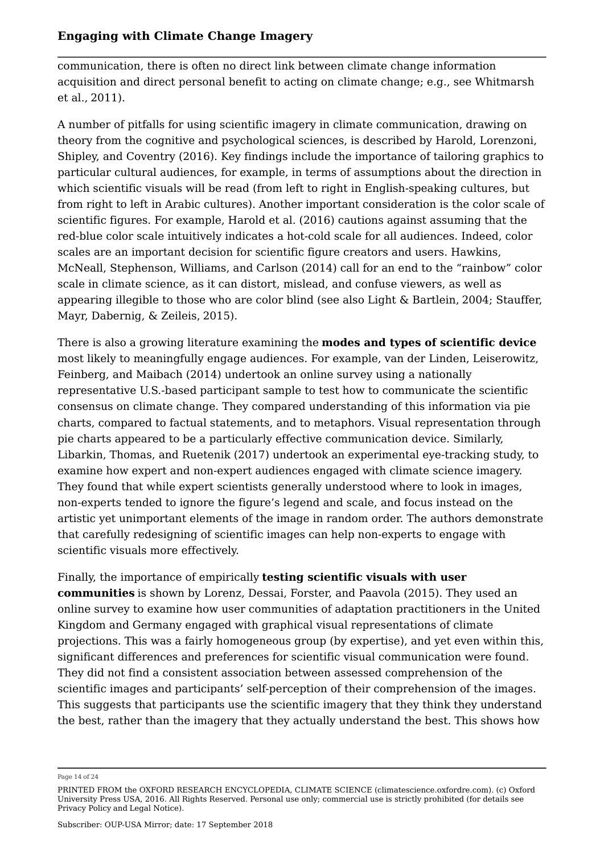communication, there is often no direct link between climate change information acquisition and direct personal benefit to acting on climate change; e.g., see Whitmarsh et al., 2011).

A number of pitfalls for using scientific imagery in climate communication, drawing on theory from the cognitive and psychological sciences, is described by Harold, Lorenzoni, Shipley, and Coventry (2016). Key findings include the importance of tailoring graphics to particular cultural audiences, for example, in terms of assumptions about the direction in which scientific visuals will be read (from left to right in English-speaking cultures, but from right to left in Arabic cultures). Another important consideration is the color scale of scientific figures. For example, Harold et al. (2016) cautions against assuming that the red-blue color scale intuitively indicates a hot-cold scale for all audiences. Indeed, color scales are an important decision for scientific figure creators and users. Hawkins, McNeall, Stephenson, Williams, and Carlson (2014) call for an end to the "rainbow" color scale in climate science, as it can distort, mislead, and confuse viewers, as well as appearing illegible to those who are color blind (see also Light & Bartlein, 2004; Stauffer, Mayr, Dabernig, & Zeileis, 2015).

There is also a growing literature examining the **modes and types of scientific device** most likely to meaningfully engage audiences. For example, van der Linden, Leiserowitz, Feinberg, and Maibach (2014) undertook an online survey using a nationally representative U.S.-based participant sample to test how to communicate the scientific consensus on climate change. They compared understanding of this information via pie charts, compared to factual statements, and to metaphors. Visual representation through pie charts appeared to be a particularly effective communication device. Similarly, Libarkin, Thomas, and Ruetenik (2017) undertook an experimental eye-tracking study, to examine how expert and non-expert audiences engaged with climate science imagery. They found that while expert scientists generally understood where to look in images, non-experts tended to ignore the figure's legend and scale, and focus instead on the artistic yet unimportant elements of the image in random order. The authors demonstrate that carefully redesigning of scientific images can help non-experts to engage with scientific visuals more effectively.

Finally, the importance of empirically **testing scientific visuals with user communities** is shown by Lorenz, Dessai, Forster, and Paavola (2015). They used an online survey to examine how user communities of adaptation practitioners in the United Kingdom and Germany engaged with graphical visual representations of climate projections. This was a fairly homogeneous group (by expertise), and yet even within this, significant differences and preferences for scientific visual communication were found. They did not find a consistent association between assessed comprehension of the scientific images and participants' self-perception of their comprehension of the images. This suggests that participants use the scientific imagery that they think they understand the best, rather than the imagery that they actually understand the best. This shows how

Page 14 of 24

PRINTED FROM the OXFORD RESEARCH ENCYCLOPEDIA, CLIMATE SCIENCE (climatescience.oxfordre.com). (c) Oxford University Press USA, 2016. All Rights Reserved. Personal use only; commercial use is strictly prohibited (for details see Privacy Policy and Legal Notice).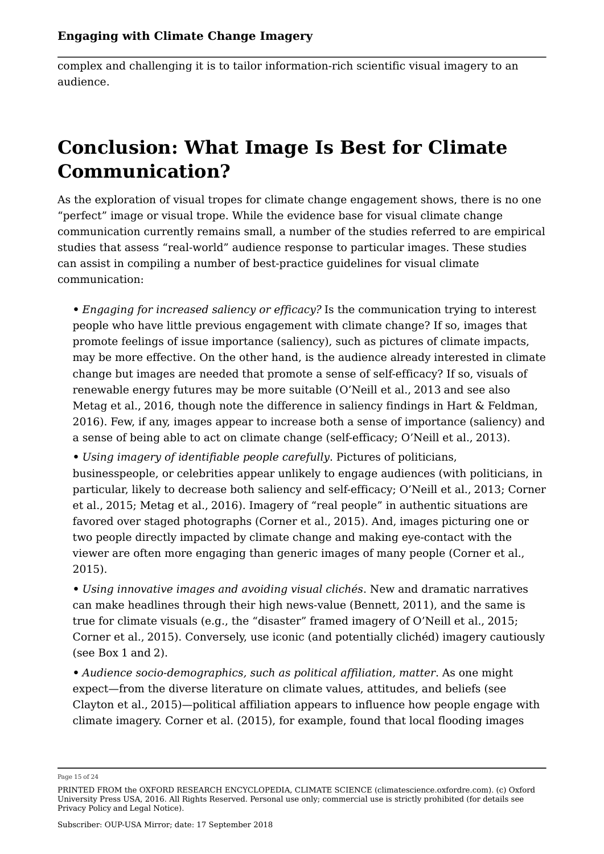complex and challenging it is to tailor information-rich scientific visual imagery to an audience.

# **Conclusion: What Image Is Best for Climate Communication?**

As the exploration of visual tropes for climate change engagement shows, there is no one "perfect" image or visual trope. While the evidence base for visual climate change communication currently remains small, a number of the studies referred to are empirical studies that assess "real-world" audience response to particular images. These studies can assist in compiling a number of best-practice guidelines for visual climate communication:

**•** *Engaging for increased saliency or efficacy?* Is the communication trying to interest people who have little previous engagement with climate change? If so, images that promote feelings of issue importance (saliency), such as pictures of climate impacts, may be more effective. On the other hand, is the audience already interested in climate change but images are needed that promote a sense of self-efficacy? If so, visuals of renewable energy futures may be more suitable (O'Neill et al., 2013 and see also Metag et al., 2016, though note the difference in saliency findings in Hart & Feldman, 2016). Few, if any, images appear to increase both a sense of importance (saliency) and a sense of being able to act on climate change (self-efficacy; O'Neill et al., 2013).

**•** *Using imagery of identifiable people carefully*. Pictures of politicians, businesspeople, or celebrities appear unlikely to engage audiences (with politicians, in particular, likely to decrease both saliency and self-efficacy; O'Neill et al., 2013; Corner et al., 2015; Metag et al., 2016). Imagery of "real people" in authentic situations are favored over staged photographs (Corner et al., 2015). And, images picturing one or two people directly impacted by climate change and making eye-contact with the viewer are often more engaging than generic images of many people (Corner et al., 2015).

**•** *Using innovative images and avoiding visual clichés*. New and dramatic narratives can make headlines through their high news-value (Bennett, 2011), and the same is true for climate visuals (e.g., the "disaster" framed imagery of O'Neill et al., 2015; Corner et al., 2015). Conversely, use iconic (and potentially clichéd) imagery cautiously (see Box 1 and 2).

**•** *Audience socio-demographics, such as political affiliation, matter*. As one might expect—from the diverse literature on climate values, attitudes, and beliefs (see Clayton et al., 2015)—political affiliation appears to influence how people engage with climate imagery. Corner et al. (2015), for example, found that local flooding images

Page 15 of 24

PRINTED FROM the OXFORD RESEARCH ENCYCLOPEDIA, CLIMATE SCIENCE (climatescience.oxfordre.com). (c) Oxford University Press USA, 2016. All Rights Reserved. Personal use only; commercial use is strictly prohibited (for details see Privacy Policy and Legal Notice).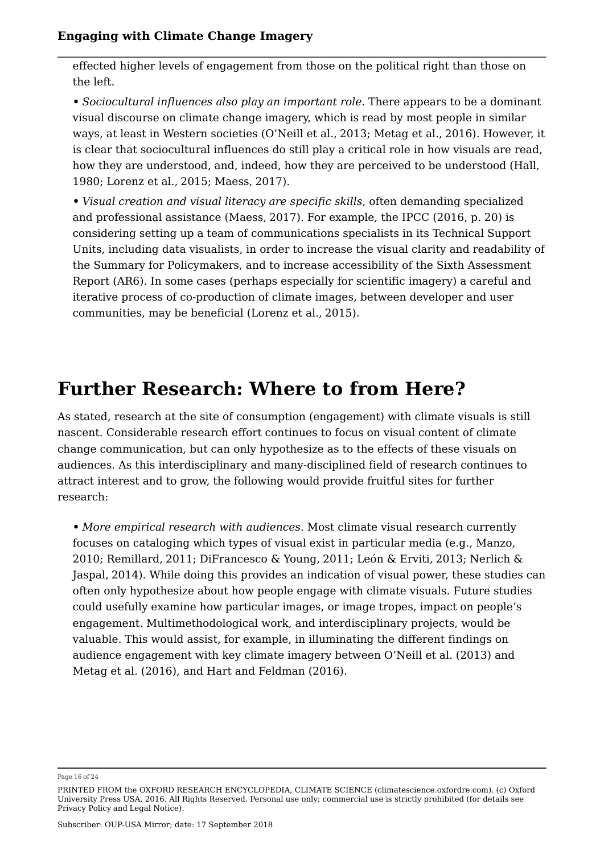effected higher levels of engagement from those on the political right than those on the left.

**•** *Sociocultural influences also play an important role*. There appears to be a dominant visual discourse on climate change imagery, which is read by most people in similar ways, at least in Western societies (O'Neill et al., 2013; Metag et al., 2016). However, it is clear that sociocultural influences do still play a critical role in how visuals are read, how they are understood, and, indeed, how they are perceived to be understood (Hall, 1980; Lorenz et al., 2015; Maess, 2017).

**•** *Visual creation and visual literacy are specific skills*, often demanding specialized and professional assistance (Maess, 2017). For example, the IPCC (2016, p. 20) is considering setting up a team of communications specialists in its Technical Support Units, including data visualists, in order to increase the visual clarity and readability of the Summary for Policymakers, and to increase accessibility of the Sixth Assessment Report (AR6). In some cases (perhaps especially for scientific imagery) a careful and iterative process of co-production of climate images, between developer and user communities, may be beneficial (Lorenz et al., 2015).

# **Further Research: Where to from Here?**

As stated, research at the site of consumption (engagement) with climate visuals is still nascent. Considerable research effort continues to focus on visual content of climate change communication, but can only hypothesize as to the effects of these visuals on audiences. As this interdisciplinary and many-disciplined field of research continues to attract interest and to grow, the following would provide fruitful sites for further research:

**•** *More empirical research with audiences*. Most climate visual research currently focuses on cataloging which types of visual exist in particular media (e.g., Manzo, 2010; Remillard, 2011; DiFrancesco & Young, 2011; León & Erviti, 2013; Nerlich & Jaspal, 2014). While doing this provides an indication of visual power, these studies can often only hypothesize about how people engage with climate visuals. Future studies could usefully examine how particular images, or image tropes, impact on people's engagement. Multimethodological work, and interdisciplinary projects, would be valuable. This would assist, for example, in illuminating the different findings on audience engagement with key climate imagery between O'Neill et al. (2013) and Metag et al. (2016), and Hart and Feldman (2016).

Page 16 of 24

PRINTED FROM the OXFORD RESEARCH ENCYCLOPEDIA, CLIMATE SCIENCE (climatescience.oxfordre.com). (c) Oxford University Press USA, 2016. All Rights Reserved. Personal use only; commercial use is strictly prohibited (for details see Privacy Policy and Legal Notice).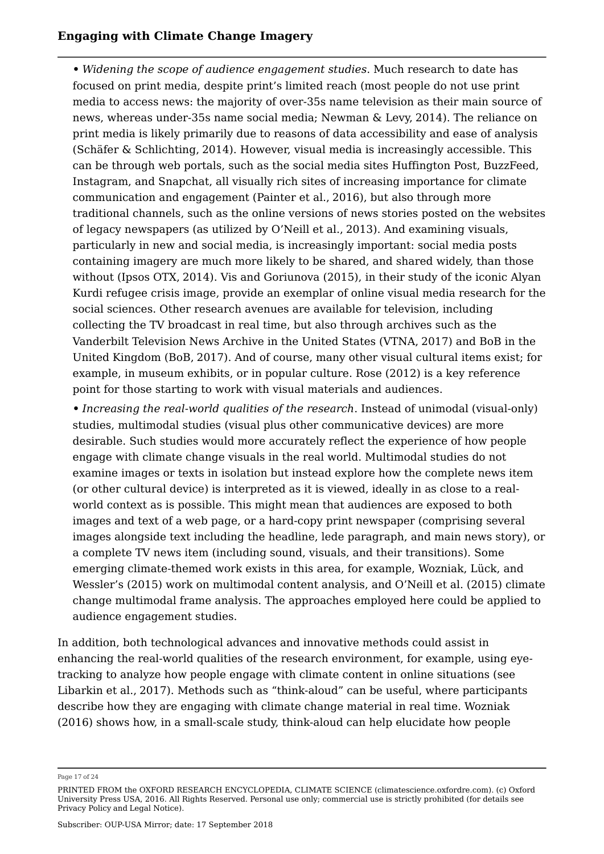**•** *Widening the scope of audience engagement studies*. Much research to date has focused on print media, despite print's limited reach (most people do not use print media to access news: the majority of over-35s name television as their main source of news, whereas under-35s name social media; Newman & Levy, 2014). The reliance on print media is likely primarily due to reasons of data accessibility and ease of analysis (Schäfer & Schlichting, 2014). However, visual media is increasingly accessible. This can be through web portals, such as the social media sites Huffington Post, BuzzFeed, Instagram, and Snapchat, all visually rich sites of increasing importance for climate communication and engagement (Painter et al., 2016), but also through more traditional channels, such as the online versions of news stories posted on the websites of legacy newspapers (as utilized by O'Neill et al., 2013). And examining visuals, particularly in new and social media, is increasingly important: social media posts containing imagery are much more likely to be shared, and shared widely, than those without (Ipsos OTX, 2014). Vis and Goriunova (2015), in their study of the iconic Alyan Kurdi refugee crisis image, provide an exemplar of online visual media research for the social sciences. Other research avenues are available for television, including collecting the TV broadcast in real time, but also through archives such as the Vanderbilt Television News Archive in the United States (VTNA, 2017) and BoB in the United Kingdom (BoB, 2017). And of course, many other visual cultural items exist; for example, in museum exhibits, or in popular culture. Rose (2012) is a key reference point for those starting to work with visual materials and audiences.

**•** *Increasing the real-world qualities of the research*. Instead of unimodal (visual-only) studies, multimodal studies (visual plus other communicative devices) are more desirable. Such studies would more accurately reflect the experience of how people engage with climate change visuals in the real world. Multimodal studies do not examine images or texts in isolation but instead explore how the complete news item (or other cultural device) is interpreted as it is viewed, ideally in as close to a realworld context as is possible. This might mean that audiences are exposed to both images and text of a web page, or a hard-copy print newspaper (comprising several images alongside text including the headline, lede paragraph, and main news story), or a complete TV news item (including sound, visuals, and their transitions). Some emerging climate-themed work exists in this area, for example, Wozniak, Lück, and Wessler's (2015) work on multimodal content analysis, and O'Neill et al. (2015) climate change multimodal frame analysis. The approaches employed here could be applied to audience engagement studies.

In addition, both technological advances and innovative methods could assist in enhancing the real-world qualities of the research environment, for example, using eyetracking to analyze how people engage with climate content in online situations (see Libarkin et al., 2017). Methods such as "think-aloud" can be useful, where participants describe how they are engaging with climate change material in real time. Wozniak (2016) shows how, in a small-scale study, think-aloud can help elucidate how people

Page 17 of 24

PRINTED FROM the OXFORD RESEARCH ENCYCLOPEDIA, CLIMATE SCIENCE (climatescience.oxfordre.com). (c) Oxford University Press USA, 2016. All Rights Reserved. Personal use only; commercial use is strictly prohibited (for details see Privacy Policy and Legal Notice).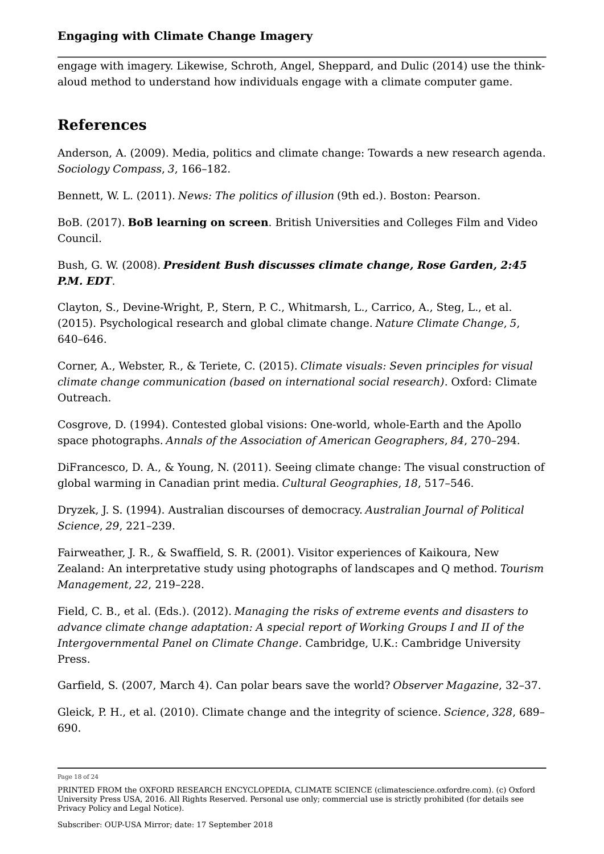engage with imagery. Likewise, Schroth, Angel, Sheppard, and Dulic (2014) use the thinkaloud method to understand how individuals engage with a climate computer game.

## **References**

Anderson, A. (2009). Media, politics and climate change: Towards a new research agenda. *Sociology Compass*, *3*, 166–182.

Bennett, W. L. (2011). *News: The politics of illusion* (9th ed.). Boston: Pearson.

BoB. (2017). **BoB learning on screen**. British Universities and Colleges Film and Video Council.

Bush, G. W. (2008). *President Bush discusses climate change, Rose Garden, 2:45 P.M. EDT*.

Clayton, S., Devine-Wright, P., Stern, P. C., Whitmarsh, L., Carrico, A., Steg, L., et al. (2015). Psychological research and global climate change. *Nature Climate Change*, *5*, 640–646.

Corner, A., Webster, R., & Teriete, C. (2015). *Climate visuals: Seven principles for visual climate change communication (based on international social research)*. Oxford: Climate Outreach.

Cosgrove, D. (1994). Contested global visions: One-world, whole-Earth and the Apollo space photographs. *Annals of the Association of American Geographers*, *84*, 270–294.

DiFrancesco, D. A., & Young, N. (2011). Seeing climate change: The visual construction of global warming in Canadian print media. *Cultural Geographies*, *18*, 517–546.

Dryzek, J. S. (1994). Australian discourses of democracy. *Australian Journal of Political Science*, *29*, 221–239.

Fairweather, J. R., & Swaffield, S. R. (2001). Visitor experiences of Kaikoura, New Zealand: An interpretative study using photographs of landscapes and Q method. *Tourism Management*, *22*, 219–228.

Field, C. B., et al. (Eds.). (2012). *Managing the risks of extreme events and disasters to advance climate change adaptation: A special report of Working Groups I and II of the Intergovernmental Panel on Climate Change*. Cambridge, U.K.: Cambridge University Press.

Garfield, S. (2007, March 4). Can polar bears save the world? *Observer Magazine*, 32–37.

Gleick, P. H., et al. (2010). Climate change and the integrity of science. *Science*, *328*, 689– 690.

Page 18 of 24

PRINTED FROM the OXFORD RESEARCH ENCYCLOPEDIA, CLIMATE SCIENCE (climatescience.oxfordre.com). (c) Oxford University Press USA, 2016. All Rights Reserved. Personal use only; commercial use is strictly prohibited (for details see Privacy Policy and Legal Notice).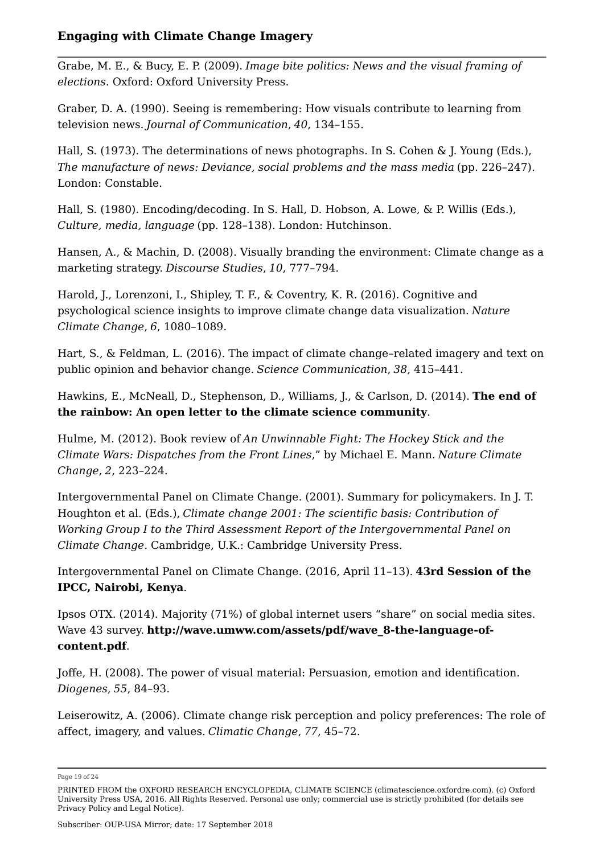Grabe, M. E., & Bucy, E. P. (2009). *Image bite politics: News and the visual framing of elections*. Oxford: Oxford University Press.

Graber, D. A. (1990). Seeing is remembering: How visuals contribute to learning from television news. *Journal of Communication*, *40*, 134–155.

Hall, S. (1973). The determinations of news photographs. In S. Cohen & J. Young (Eds.), *The manufacture of news: Deviance, social problems and the mass media* (pp. 226–247). London: Constable.

Hall, S. (1980). Encoding/decoding. In S. Hall, D. Hobson, A. Lowe, & P. Willis (Eds.), *Culture, media, language* (pp. 128–138). London: Hutchinson.

Hansen, A., & Machin, D. (2008). Visually branding the environment: Climate change as a marketing strategy. *Discourse Studies*, *10*, 777–794.

Harold, J., Lorenzoni, I., Shipley, T. F., & Coventry, K. R. (2016). Cognitive and psychological science insights to improve climate change data visualization. *Nature Climate Change*, *6*, 1080–1089.

Hart, S., & Feldman, L. (2016). The impact of climate change–related imagery and text on public opinion and behavior change. *Science Communication*, *38*, 415–441.

Hawkins, E., McNeall, D., Stephenson, D., Williams, J., & Carlson, D. (2014). **The end of the rainbow: An open letter to the climate science community**.

Hulme, M. (2012). Book review of *An Unwinnable Fight: The Hockey Stick and the Climate Wars: Dispatches from the Front Lines*," by Michael E. Mann. *Nature Climate Change*, *2*, 223–224.

Intergovernmental Panel on Climate Change. (2001). Summary for policymakers. In J. T. Houghton et al. (Eds.), *Climate change 2001: The scientific basis: Contribution of Working Group I to the Third Assessment Report of the Intergovernmental Panel on Climate Change*. Cambridge, U.K.: Cambridge University Press.

Intergovernmental Panel on Climate Change. (2016, April 11–13). **43rd Session of the IPCC, Nairobi, Kenya**.

Ipsos OTX. (2014). Majority (71%) of global internet users "share" on social media sites. Wave 43 survey. **http://wave.umww.com/assets/pdf/wave\_8-the-language-ofcontent.pdf**.

Joffe, H. (2008). The power of visual material: Persuasion, emotion and identification. *Diogenes*, *55*, 84–93.

Leiserowitz, A. (2006). Climate change risk perception and policy preferences: The role of affect, imagery, and values. *Climatic Change*, *77*, 45–72.

Page 19 of 24

PRINTED FROM the OXFORD RESEARCH ENCYCLOPEDIA, CLIMATE SCIENCE (climatescience.oxfordre.com). (c) Oxford University Press USA, 2016. All Rights Reserved. Personal use only; commercial use is strictly prohibited (for details see Privacy Policy and Legal Notice).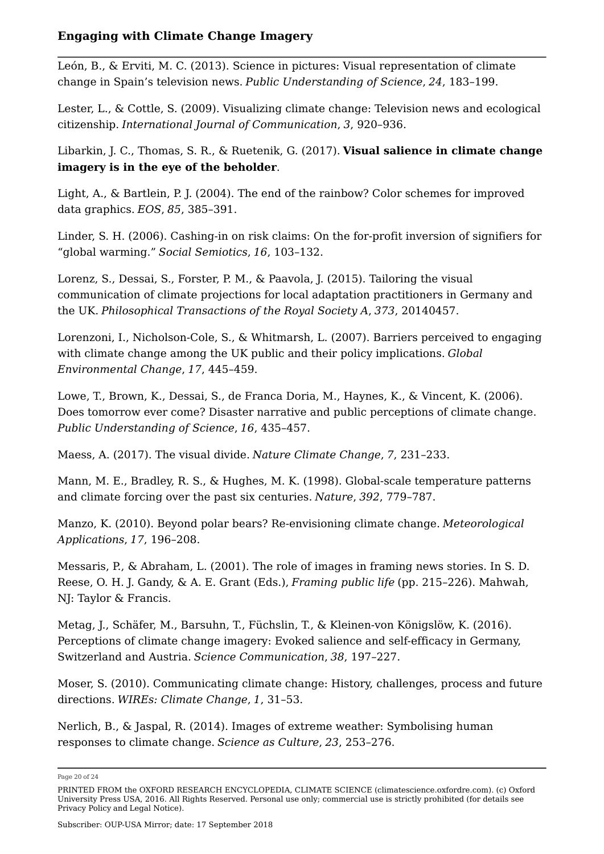León, B., & Erviti, M. C. (2013). Science in pictures: Visual representation of climate change in Spain's television news. *Public Understanding of Science*, *24*, 183–199.

Lester, L., & Cottle, S. (2009). Visualizing climate change: Television news and ecological citizenship. *International Journal of Communication*, *3*, 920–936.

Libarkin, J. C., Thomas, S. R., & Ruetenik, G. (2017). **Visual salience in climate change imagery is in the eye of the beholder**.

Light, A., & Bartlein, P. J. (2004). The end of the rainbow? Color schemes for improved data graphics. *EOS*, *85*, 385–391.

Linder, S. H. (2006). Cashing-in on risk claims: On the for-profit inversion of signifiers for "global warming." *Social Semiotics*, *16*, 103–132.

Lorenz, S., Dessai, S., Forster, P. M., & Paavola, J. (2015). Tailoring the visual communication of climate projections for local adaptation practitioners in Germany and the UK. *Philosophical Transactions of the Royal Society A*, *373*, 20140457.

Lorenzoni, I., Nicholson-Cole, S., & Whitmarsh, L. (2007). Barriers perceived to engaging with climate change among the UK public and their policy implications. *Global Environmental Change*, *17*, 445–459.

Lowe, T., Brown, K., Dessai, S., de Franca Doria, M., Haynes, K., & Vincent, K. (2006). Does tomorrow ever come? Disaster narrative and public perceptions of climate change. *Public Understanding of Science*, *16*, 435–457.

Maess, A. (2017). The visual divide. *Nature Climate Change*, *7*, 231–233.

Mann, M. E., Bradley, R. S., & Hughes, M. K. (1998). Global-scale temperature patterns and climate forcing over the past six centuries. *Nature*, *392*, 779–787.

Manzo, K. (2010). Beyond polar bears? Re-envisioning climate change. *Meteorological Applications*, *17*, 196–208.

Messaris, P., & Abraham, L. (2001). The role of images in framing news stories. In S. D. Reese, O. H. J. Gandy, & A. E. Grant (Eds.), *Framing public life* (pp. 215–226). Mahwah, NJ: Taylor & Francis.

Metag, J., Schäfer, M., Barsuhn, T., Füchslin, T., & Kleinen-von Königslöw, K. (2016). Perceptions of climate change imagery: Evoked salience and self-efficacy in Germany, Switzerland and Austria. *Science Communication*, *38*, 197–227.

Moser, S. (2010). Communicating climate change: History, challenges, process and future directions. *WIREs: Climate Change*, *1*, 31–53.

Nerlich, B., & Jaspal, R. (2014). Images of extreme weather: Symbolising human responses to climate change. *Science as Culture*, *23*, 253–276.

Page 20 of 24

PRINTED FROM the OXFORD RESEARCH ENCYCLOPEDIA, CLIMATE SCIENCE (climatescience.oxfordre.com). (c) Oxford University Press USA, 2016. All Rights Reserved. Personal use only; commercial use is strictly prohibited (for details see Privacy Policy and Legal Notice).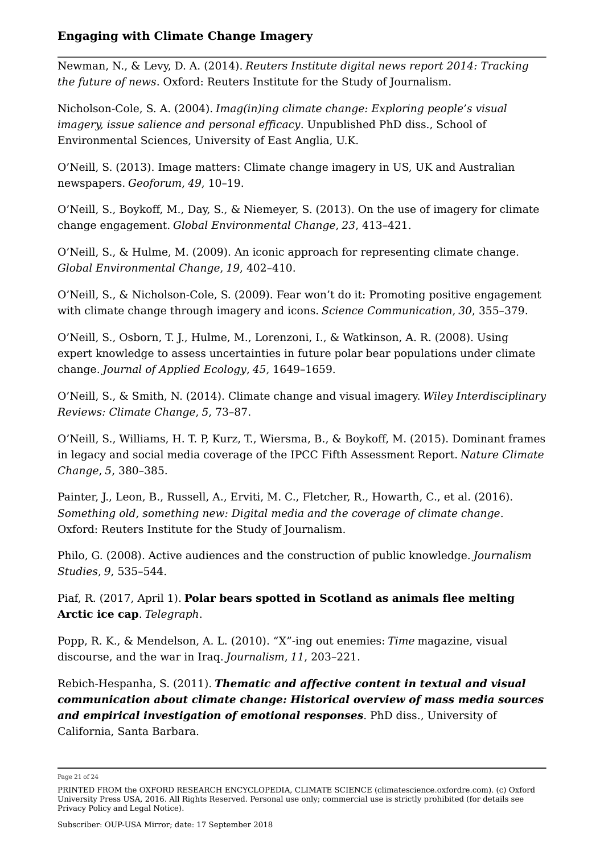Newman, N., & Levy, D. A. (2014). *Reuters Institute digital news report 2014: Tracking the future of news*. Oxford: Reuters Institute for the Study of Journalism.

Nicholson-Cole, S. A. (2004). *Imag(in)ing climate change: Exploring people's visual imagery, issue salience and personal efficacy*. Unpublished PhD diss., School of Environmental Sciences, University of East Anglia, U.K.

O'Neill, S. (2013). Image matters: Climate change imagery in US, UK and Australian newspapers. *Geoforum*, *49*, 10–19.

O'Neill, S., Boykoff, M., Day, S., & Niemeyer, S. (2013). On the use of imagery for climate change engagement. *Global Environmental Change*, *23*, 413–421.

O'Neill, S., & Hulme, M. (2009). An iconic approach for representing climate change. *Global Environmental Change*, *19*, 402–410.

O'Neill, S., & Nicholson-Cole, S. (2009). Fear won't do it: Promoting positive engagement with climate change through imagery and icons. *Science Communication*, *30*, 355–379.

O'Neill, S., Osborn, T. J., Hulme, M., Lorenzoni, I., & Watkinson, A. R. (2008). Using expert knowledge to assess uncertainties in future polar bear populations under climate change. *Journal of Applied Ecology*, *45*, 1649–1659.

O'Neill, S., & Smith, N. (2014). Climate change and visual imagery. *Wiley Interdisciplinary Reviews: Climate Change*, *5*, 73–87.

O'Neill, S., Williams, H. T. P, Kurz, T., Wiersma, B., & Boykoff, M. (2015). Dominant frames in legacy and social media coverage of the IPCC Fifth Assessment Report. *Nature Climate Change*, *5*, 380–385.

Painter, J., Leon, B., Russell, A., Erviti, M. C., Fletcher, R., Howarth, C., et al. (2016). *Something old, something new: Digital media and the coverage of climate change*. Oxford: Reuters Institute for the Study of Journalism.

Philo, G. (2008). Active audiences and the construction of public knowledge. *Journalism Studies*, *9*, 535–544.

Piaf, R. (2017, April 1). **Polar bears spotted in Scotland as animals flee melting Arctic ice cap**. *Telegraph*.

Popp, R. K., & Mendelson, A. L. (2010). "X"-ing out enemies: *Time* magazine, visual discourse, and the war in Iraq. *Journalism*, *11*, 203–221.

Rebich-Hespanha, S. (2011). *Thematic and affective content in textual and visual communication about climate change: Historical overview of mass media sources and empirical investigation of emotional responses*. PhD diss., University of California, Santa Barbara.

Page 21 of 24

PRINTED FROM the OXFORD RESEARCH ENCYCLOPEDIA, CLIMATE SCIENCE (climatescience.oxfordre.com). (c) Oxford University Press USA, 2016. All Rights Reserved. Personal use only; commercial use is strictly prohibited (for details see Privacy Policy and Legal Notice).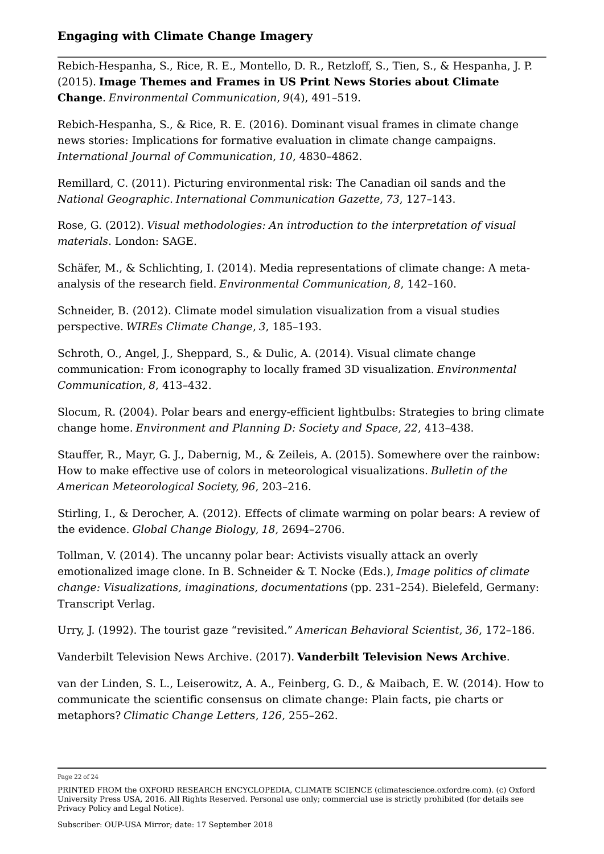Rebich-Hespanha, S., Rice, R. E., Montello, D. R., Retzloff, S., Tien, S., & Hespanha, J. P. (2015). **Image Themes and Frames in US Print News Stories about Climate Change**. *Environmental Communication*, *9*(4), 491–519.

Rebich-Hespanha, S., & Rice, R. E. (2016). Dominant visual frames in climate change news stories: Implications for formative evaluation in climate change campaigns. *International Journal of Communication*, *10*, 4830–4862.

Remillard, C. (2011). Picturing environmental risk: The Canadian oil sands and the *National Geographic*. *International Communication Gazette*, *73*, 127–143.

Rose, G. (2012). *Visual methodologies: An introduction to the interpretation of visual materials*. London: SAGE.

Schäfer, M., & Schlichting, I. (2014). Media representations of climate change: A metaanalysis of the research field. *Environmental Communication*, *8*, 142–160.

Schneider, B. (2012). Climate model simulation visualization from a visual studies perspective. *WIREs Climate Change*, *3*, 185–193.

Schroth, O., Angel, J., Sheppard, S., & Dulic, A. (2014). Visual climate change communication: From iconography to locally framed 3D visualization. *Environmental Communication*, *8*, 413–432.

Slocum, R. (2004). Polar bears and energy-efficient lightbulbs: Strategies to bring climate change home. *Environment and Planning D: Society and Space*, *22*, 413–438.

Stauffer, R., Mayr, G. J., Dabernig, M., & Zeileis, A. (2015). Somewhere over the rainbow: How to make effective use of colors in meteorological visualizations. *Bulletin of the American Meteorological Societ*y, *96*, 203–216.

Stirling, I., & Derocher, A. (2012). Effects of climate warming on polar bears: A review of the evidence. *Global Change Biology*, *18*, 2694–2706.

Tollman, V. (2014). The uncanny polar bear: Activists visually attack an overly emotionalized image clone. In B. Schneider & T. Nocke (Eds.), *Image politics of climate change: Visualizations, imaginations, documentations* (pp. 231–254). Bielefeld, Germany: Transcript Verlag.

Urry, J. (1992). The tourist gaze "revisited." *American Behavioral Scientist*, *36*, 172–186.

Vanderbilt Television News Archive. (2017). **Vanderbilt Television News Archive**.

van der Linden, S. L., Leiserowitz, A. A., Feinberg, G. D., & Maibach, E. W. (2014). How to communicate the scientific consensus on climate change: Plain facts, pie charts or metaphors? *Climatic Change Letters*, *126*, 255–262.

Page 22 of 24

PRINTED FROM the OXFORD RESEARCH ENCYCLOPEDIA, CLIMATE SCIENCE (climatescience.oxfordre.com). (c) Oxford University Press USA, 2016. All Rights Reserved. Personal use only; commercial use is strictly prohibited (for details see Privacy Policy and Legal Notice).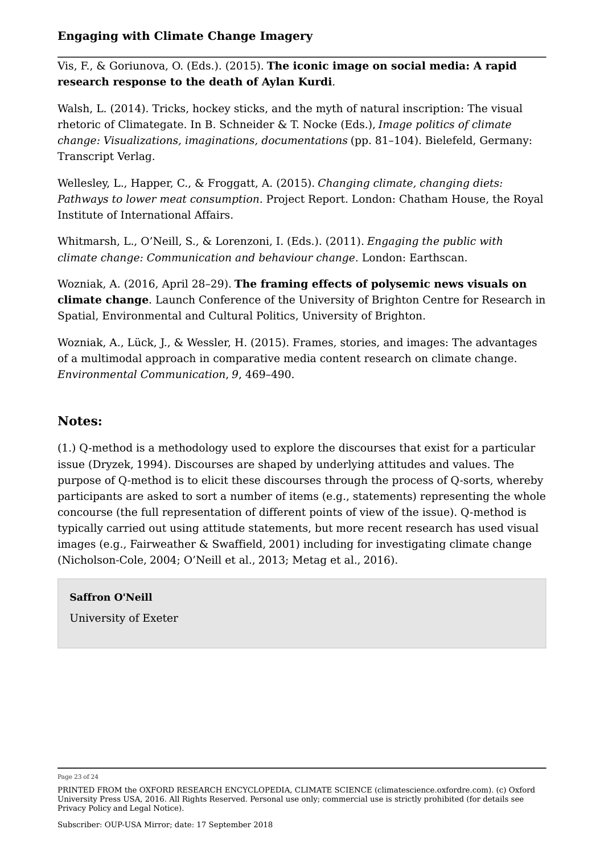Vis, F., & Goriunova, O. (Eds.). (2015). **The iconic image on social media: A rapid research response to the death of Aylan Kurdi**.

Walsh, L. (2014). Tricks, hockey sticks, and the myth of natural inscription: The visual rhetoric of Climategate. In B. Schneider & T. Nocke (Eds.), *Image politics of climate change: Visualizations, imaginations, documentations* (pp. 81–104). Bielefeld, Germany: Transcript Verlag.

Wellesley, L., Happer, C., & Froggatt, A. (2015). *Changing climate, changing diets: Pathways to lower meat consumption*. Project Report. London: Chatham House, the Royal Institute of International Affairs.

Whitmarsh, L., O'Neill, S., & Lorenzoni, I. (Eds.). (2011). *Engaging the public with climate change: Communication and behaviour change*. London: Earthscan.

Wozniak, A. (2016, April 28–29). **The framing effects of polysemic news visuals on climate change**. Launch Conference of the University of Brighton Centre for Research in Spatial, Environmental and Cultural Politics, University of Brighton.

Wozniak, A., Lück, J., & Wessler, H. (2015). Frames, stories, and images: The advantages of a multimodal approach in comparative media content research on climate change. *Environmental Communication*, *9*, 469–490.

## **Notes:**

(1.) Q-method is a methodology used to explore the discourses that exist for a particular issue (Dryzek, 1994). Discourses are shaped by underlying attitudes and values. The purpose of Q-method is to elicit these discourses through the process of Q-sorts, whereby participants are asked to sort a number of items (e.g., statements) representing the whole concourse (the full representation of different points of view of the issue). Q-method is typically carried out using attitude statements, but more recent research has used visual images (e.g., Fairweather & Swaffield, 2001) including for investigating climate change (Nicholson-Cole, 2004; O'Neill et al., 2013; Metag et al., 2016).

#### **Saffron O'Neill**

University of Exeter

Page 23 of 24

PRINTED FROM the OXFORD RESEARCH ENCYCLOPEDIA, CLIMATE SCIENCE (climatescience.oxfordre.com). (c) Oxford University Press USA, 2016. All Rights Reserved. Personal use only; commercial use is strictly prohibited (for details see Privacy Policy and Legal Notice).